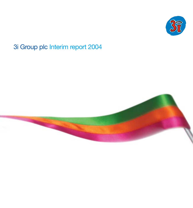

# 3i Group plc Interim report 2004

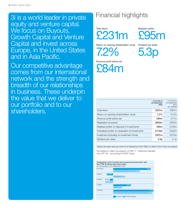3i is a world leader in private and in Asia Pacific. equity and venture capital. We focus on Buyouts, Growth Capital and Venture Capital and invest across Europe, in the United States

Our competitive advantage in business. These underpin the value that we deliver to our portfolio and to our comes from our international network and the strength and breadth of our relationships shareholders.

# Financial highlights

Total return **Realised profits 231m** 

Return on opening shareholders' funds Dividend per share

Revenue profit before tax

£84m

7.2% 5.3p

|                                                  | 6 months to<br>30 September<br>2004 | 6 months to<br>30 September<br>2003<br>(as restated)* |
|--------------------------------------------------|-------------------------------------|-------------------------------------------------------|
| Total return                                     | £231 $m$                            | £367m                                                 |
| Return on opening shareholders' funds            | 7.2%                                | 13.2%                                                 |
| Revenue profit before tax                        | £84m                                | £71m                                                  |
| Realisation proceeds                             | £603m                               | £503m                                                 |
| Realised profits on disposal of investments      | £95m                                | £134m                                                 |
| Unrealised profits on revaluation of investments | £118m                               | £222m                                                 |
| Investment (including co-investment funds)       | £521m                               | £273m                                                 |
| Dividend per share                               | 5.3p                                | 5.1 <sub>p</sub>                                      |

Diluted net asset value per share at 30 September 2004 568p (31 March 2004: 535p as restated)

\*As restated to reflect the adoption of FRS 17 – Retirement Benefits and UITF 38 – Accounting for ESOP Trusts.

6 months 3 years 5 years 7 years 10 years 7.2%  $(1.2)%$  $(0.6)\%$ 3.4% 7.7% 7.5% 2.3%  $(1.5)$ <sup>o</sup> for the periods to 30 September 2004 **Comparison of 3i's 6 month and compound annual return with the FTSE All-Share total return index**  3i return FTSE All-Share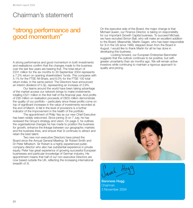## Chairman's statement

# **"strong performance and good momentum"**

A strong performance and good momentum in both investments and realisations confirm that the changes made to the business over the last few years are bearing fruit. The total return of £231 million for the six months to 30 September 2004 represents a 7.2% return on opening shareholders' funds. This compares with 5.1% for the FTSE All-Share, and 6.0% for the FTSE 100 total return index, in the same period. The Directors have announced an interim dividend of 5.3p, representing an increase of 3.9%.

Our teams around the world have been taking advantage of the market access our network brings to make investments totalling £521 million in the first half of the financial year. And profits of £95 million on realisation proceeds of £603 million demonstrate the quality of our portfolio – particularly since these profits come on top of significant increases in the value of investments recorded at the end of March. A fall in the level of provisions is a further indicator of the improvement in the health of the portfolio.

The appointment of Philip Yea as our new Chief Executive has been widely welcomed. Since joining 3i on 7 July, he has reviewed the Group's strategy and vision. On page 3, he outlines the organisational changes he has made to position the business for growth, enhance the linkage between our geographic markets and the business lines, and ensure that 3i continues to attract and retain the best talent.

Two new non-executive Directors have joined the Board since the Annual General Meeting: Sir Robert Smith and Dr Peter Mihatsch. Sir Robert is a highly experienced public company director who also has substantial experience in private equity. Peter has great experience of growing successful European businesses and particular knowledge of German industry. His appointment means that half of our non-executive Directors are now based outside the UK, reflecting the increasing international breadth of 3i.

On the executive side of the Board, the major change is that Michael Queen, our Finance Director, is taking on responsibility for our important Growth Capital business. To succeed Michael, we have recruited Simon Ball, who will make an excellent addition to the Board. Meanwhile, Martin Gagen, who has been responsible for 3i in the US since 1999, stepped down from the Board in August. I would like to thank Martin for all he has done in developing this business.

Looking forward, our European Enterprise Barometer suggests that the outlook continues to be positive, but with greater uncertainty than six months ago. We will remain active investors while continuing to maintain a rigorous approach to quality and pricing.



Javak Hou

Chairman 3 November 2004 **Baroness Hogg**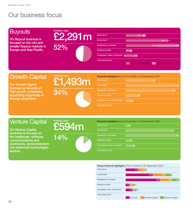# Our business focus

### **Buyouts**

**focused on the mid and smaller Buyout markets in 3i's Buyout business is Europe and Asia Pacific.** 

# **Portfolio value £2,291m 52%**

| <b>Total return</b>         |       | $113$ $31$                |     |                        |     |
|-----------------------------|-------|---------------------------|-----|------------------------|-----|
| Investment <sup>*</sup>     |       |                           |     | $291$ 14               |     |
| <b>Realisation proceeds</b> |       |                           | 219 |                        | 169 |
| <b>Realised profits</b>     | 24 21 |                           |     |                        |     |
| Unrealised value movement   |       | 86                        |     |                        |     |
| *Including funds            |       |                           |     |                        |     |
|                             |       | <b>Mid-market Buyouts</b> |     | <b>Smaller Buyouts</b> |     |

**business is focused on expanding organically or Our Growth Capital high growth companies, through acquisition.** 



| <b>Total return</b>         |    | 79 |     |
|-----------------------------|----|----|-----|
| Investment <sup>*</sup>     |    |    | 142 |
| <b>Realisation proceeds</b> |    |    | 133 |
| <b>Realised profits</b>     | 39 |    |     |
| Unrealised value movement   | 21 |    |     |

### Venture Capital

**business is focused on communications and and advanced technologies sectors. 3i's Venture Capital the healthcare, software, electronics, semiconductors** 





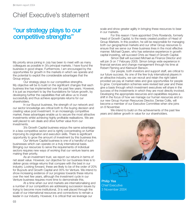# Chief Executive's statement

# **"our strategy plays to our competitive strengths"**

My priority since joining in July has been to meet with as many colleagues as possible in 3i's principal markets. I have found the business in good shape. Furthermore, I am encouraged by the opportunities for growth in the markets in which we operate and the potential to exploit the considerable advantages that the Group enjoys.

Our strategy plays to our competitive strengths. My objective will be to build on the significant changes that each business line has implemented over the past few years. However, it is just as important to lay the foundations for future growth, by developing further the capabilities that will allow us to invest successfully and thus achieve appropriate returns for our shareholders.

In our Buyout business, the strength of our network and our sector knowledge are critical both to the buying decision and creating value post investment. In an increasingly competitive market, these advantages enable us to secure the most attractive investments whilst achieving highly profitable realisations. We are well placed to win deals and drive further value from our investments.

3i's Growth Capital business enjoys the same advantages in a less competitive sector and is rightly concentrating on further improving its origination and execution skills. There is significant opportunity to grow the amount of investment by this business line.

Our Venture Capital business is one of a handful of such businesses which can operate on a truly international basis. Bringing our resources to serve the requirements of individual sectors requires new ways of working that our venture teams are making their priority.

As an investment trust, we report our returns in terms of net asset value. However, our objective for our business lines is to deliver gross vintage returns that compare with the best in our industry. Looking forward, these are likely to be of the order of 20% for Buyouts and Growth Capital and 35% for Venture. We intend to show increasing evidence of our progress towards these returns over the next few years, although the investment cycle in our Venture business requires more time to demonstrate this.

At a time when our end markets are internationalising and a number of our competitors are addressing succession issues by trying to become more institutional, 3i is well placed through the scale of our international resources and connections to remain a leader in our industry. However, it is critical that we leverage our

scale and show greater agility in bringing these resources to bear in our markets.

For this reason I have appointed Chris Rowlands, formerly Head of Growth Capital, to the newly created position of Head of Group Markets. In this position, he will be responsible for managing both our geographical markets and our other Group resources to ensure that we serve our three business lines in the most effective manner. Michael Queen, who has extensive experience in growth capital investing, will succeed Chris as Head of Growth Capital.

Simon Ball will succeed Michael as Finance Director and will join 3i on 7 February 2005. Simon brings wide experience in financial services and change management through his time at Robert Fleming and Kleinwort Benson.

Our people, both investors and support staff, are critical to our future success. As one of the few truly international players in an attractive industry, we can recruit and retain the right talent provided we pay at market rates and give opportunities for people to grow. Compensation schemes were revised last year and these give a basis through which investment executives will share in the success of the investments in which they are most directly involved. Developing the appropriate resources and capabilities requires a shift in the focus of how we manage our human resources and so our new Group Human Resources Director, Denise Collis, will become a member of our Executive Committee when she joins on 8 November.

We intend to build on the achievements of the past few years and deliver growth in value for our shareholders.



Chief Executive 3 November 2004 **Philip Yea**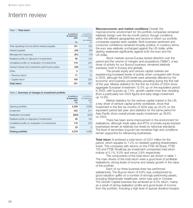# Interim review

#### Table 1: **Total return**

|                                                   | 6 months to<br>30 September<br>2004<br>£m | 6 months to<br>30 September<br>2003<br>(as restated)<br>£m |
|---------------------------------------------------|-------------------------------------------|------------------------------------------------------------|
| Total operating income before interest payable    | 161                                       | 130                                                        |
| Interest payable                                  | (42)                                      | (50)                                                       |
| Management expenses                               | (81)                                      | (70)                                                       |
| Realised profits on disposal of investments       | 95                                        | 134                                                        |
| Unrealised profits on revaluation of investments  | 118                                       | 222                                                        |
| Carried interest and investment performance plans | (25)                                      | (12)                                                       |
| Other                                             | 5                                         | 13                                                         |
| - Revenue return                                  | 71                                        | 74                                                         |
| - Capital return                                  | 160                                       | 293                                                        |
| <b>Total return</b>                               | 231                                       | 367                                                        |

#### Table 2: **Summary of changes to investment portfolio**

|                                                  | 6 months to<br>30 September<br>2004<br>£m | 6 months to<br>30 September<br>2003<br>£m |
|--------------------------------------------------|-------------------------------------------|-------------------------------------------|
| Opening portfolio                                | 4,326                                     | 3,939                                     |
| Investment                                       | 422                                       | 211                                       |
| Realisation proceeds                             | (603)                                     | (503)                                     |
| Realised profits on disposal of investments      | 95                                        | 134                                       |
| Unrealised profits on revaluation of investments | 118                                       | 222                                       |
| Other                                            | 20                                        | 3                                         |
| Closing portfolio                                | 4.378                                     | 4.006                                     |

**Macroeconomic and market conditions** Overall, the macroeconomic environment for 3i's portfolio companies remained relatively benign over the six-month period, though conditions within the different geographies and sectors in which our portfolio companies operate were variable. Both business sentiment and consumer confidence remained broadly positive. In currency terms, the euro was relatively unchanged against the US dollar, while sterling weakened significantly against both the euro and the US dollar.

Stock markets across Europe lacked direction over the period and the volume of mergers and acquisitions ("M&A"), a key driver of activity for our Buyout business, remained relatively subdued, both in Europe and globally.

The private equity and venture capital markets are experiencing increased levels of activity when compared with those in 2003, although the 2003 levels were adversely affected by the economic and business uncertainties prevailing during the first half of the year. Market statistics for the first six months of 2004 show aggregate European investment 12.5% up on the equivalent period in 2003, with buyouts up 7.5%, growth capital more than doubling (from a particularly low 2003 figure) and early-stage investment up 14.9%.

Market statistics for the venture capital market in the US, a key driver of venture capital activity worldwide, show that investment in the first six months of 2004 was up 23.2% on the equivalent period last year; and statistics for the same period for Asia Pacific show overall private equity investment up 39.6% on 2003.

There has been some improvement in the environment for realisations, although trade sales and IPO's of private equity-backed businesses remain at relatively low levels by historical standards. The level of secondary buyouts has remained high and conditions remain supportive for refinancing businesses.

**Total return** 3i achieved a total return of £231 million for the period, which equates to 7.2% on restated opening shareholders' funds. This compares with returns on the FTSE All-Share, FTSE 100 and FTSE SmallCap (ex investment companies) total return indices of 5.1%, 6.0% and minus 2.8% respectively.

The components of the total return are shown in table 1. The main drivers of the total return were a good level of profitable realisations, strong levels of income and steady growth in the value of the portfolio.

Each of our three business lines has performed satisfactorily. The Buyout return of 8.8% was underpinned by good valuation uplifts on a number of strongly-performing assets, including Westminster Healthcare, which was sold in October. The Growth Capital business line achieved an 8.3% return, mainly as a result of strong realisation profits and good levels of income from the portfolio, including a high level of special dividend receipts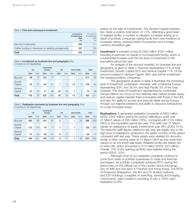#### Table 3: First and subsequent investment

|                                                      | 6 months to<br>30 September<br>2004<br>£m | 6 months to<br>30 September<br>2003<br>£m |
|------------------------------------------------------|-------------------------------------------|-------------------------------------------|
| New first investments                                | 255                                       | 111                                       |
| Further funding or drawdown on existing arrangements | 167                                       | 100                                       |
| <b>Total</b>                                         | 422                                       | 211                                       |

#### Table 4: **Investment by business line and geography** (£m) 6 months to 30 September

|                    | <b>UK</b> |      | Continental<br>Europe |      | <b>US</b> |                | Asia Pacific |                              | Total |      |  |
|--------------------|-----------|------|-----------------------|------|-----------|----------------|--------------|------------------------------|-------|------|--|
|                    | 2004      | 2003 | 2004                  | 2003 | 2004      | 2003           | 2004         | 2003                         | 2004  | 2003 |  |
| <b>Buyouts</b>     | 88        | 13   | 125                   | 77   |           | -              |              | $\qquad \qquad \blacksquare$ | 213   | 90   |  |
| Growth<br>Capital  | 43        | 27   | 80                    | 31   | 1         | $\overline{2}$ | 12           | 5                            | 136   | 65   |  |
| Venture<br>Capital | 21        | 13   | 17                    | 26   | 34        | 16             | 1            | 1                            | 73    | 56   |  |
| <b>Total</b>       | 152       | 53   | 222                   | 134  | 35        | 18             | 13           | 6                            | 422   | 211  |  |

Table 5: **Realisation proceeds by business line and geography** (£m) 6 months to 30 September

|                    | <b>UK</b> |      |      | <b>US</b><br>Asia Pacific<br><b>Total</b> |      | Continental<br>Europe    |      |                          |      |      |
|--------------------|-----------|------|------|-------------------------------------------|------|--------------------------|------|--------------------------|------|------|
|                    | 2004      | 2003 | 2004 | 2003                                      | 2004 | 2003                     | 2004 | 2003                     | 2004 | 2003 |
| <b>Buyouts</b>     | 282       | 93   | 104  | 81                                        | 2    | $\qquad \qquad -$        |      | 55                       | 388  | 229  |
| Growth<br>Capital  | 112       | 179  | 19   | 17                                        | 1    | $\overline{\phantom{a}}$ | 1    | 1                        | 133  | 197  |
| Venture<br>Capital | 51        | 45   | 25   | 21                                        | 6    | 11                       | -    | $\overline{\phantom{a}}$ | 82   | 77   |
| <b>Total</b>       | 445       | 317  | 148  | 119                                       | 9    | 11                       | 1    | 56                       | 603  | 503  |

arising on the sale of investments. The Venture Capital business line made a positive total return of 1.4%, reflecting a good level of realised profits, a number of valuation increases arising as a result of portfolio companies raising funds from new investors at increased values, reduced levels of provisions and a foreign currency translation gain.

**Investment** 3i invested a total of £422 million (£521 million including investment on behalf of co-investment funds), which is a substantial increase over the low level of investment in the equivalent period last year.

An analysis of the amount invested, by business line and geography, is given in table 4. Buyouts represented 51% of total investment, Growth Capital 32% and Venture Capital 17%. Of the amount invested in Venture Capital, 68% was further investment into existing portfolio companies.

The geographic analysis in table 4 illustrates the increasing level of investment undertaken overseas, with continental Europe representing 53%, the US 8% and Asia Pacific 3% of the total invested. The share of investment represented by continental Europe reflects our focus on the relatively less mature private equity and venture capital markets there (compared with those in the UK), and also 3i's ability to access and execute deals across Europe through our regional presence and ability to resource transactions on a pan-European basis.

**Realisations** 3i generated realisation proceeds of £603 million (2003: £503 million) during the period, reflecting a profit over 31 March values of £95 million (19%), compared with £134 million (36%) in the equivalent period last year. The uplift over 31 March values on realisations of equity investments was 28% (2003: 61%). The reduced uplift figures relative to last year are largely due to the high level of realisations achieved in the earlier months of this period compared with last year. These assets were realised for amounts similar to their carrying value at 31 March 2004 as they were then valued on an imminent sale basis. Realised profits are stated net of write-offs, which amounted to £13 million (2003: £25 million). Overall, 12% of the opening portfolio was realised during the period (2003: 10%).

Although most of our realisation proceeds continue to come from sales of portfolio businesses to trade and financial purchasers, six portfolio companies achieved IPO's during the period (two on the Official List of the London Stock Exchange, two on AIM and one each in Frankfurt and Hong Kong). The IPO's of Pinewood Shepperton, the film and TV studios business, and E2V Holdings, a supplier of switching, sensing and imaging components, were notable in providing 3i with a 100% cash realisation on IPO.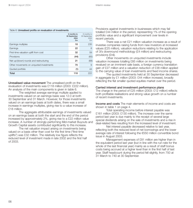#### Table 6: **Unrealised profits on revaluation of investments**

|                                         | 6 months to<br>30 September<br>2004<br>£m | 6 months to<br>30 September<br>2003<br>£m |
|-----------------------------------------|-------------------------------------------|-------------------------------------------|
| Earnings multiples                      | 18                                        | 235                                       |
| Earnings                                | 22                                        | 8                                         |
| First-time valuation uplift from cost   | 32                                        | 59                                        |
| Provisions                              | (44)                                      | (65)                                      |
| Net up/(down) rounds and restructuring  | 21                                        | (68)                                      |
| Other movements on unquoted investments | 70                                        | 9                                         |
| Quoted portfolio                        | (1)                                       | 44                                        |
| Total                                   | 118                                       | 222                                       |

**Unrealised value movement** The unrealised profit on the revaluation of investments was £118 million (2003: £222 million). An analysis of the main components is given in table 6.

The weighted average earnings multiple applied to investments valued on an earnings basis was 12.0 at both 30 September and 31 March. However, for those investments valued on an earnings basis at both dates, there was a small increase in earnings multiples, giving rise to a value increase of £18 million.

The aggregate attributable earnings of investments valued on an earnings basis at both the start and the end of the period increased by approximately 2%, giving rise to a £22 million value increase. A number of strongly-performing Mid-market Buyouts and Growth Capital assets contributed significantly to this increase.

The net valuation impact arising on investments being valued on a basis other than cost for the first time ("first-time uplifts") was £32 million. The relatively low figure reflects the reduced level of investment made in late 2002 and the first half of 2003.

Provisions against investments in businesses which may fail totalled £44 million in the period, representing 1% of the opening portfolio value and a significant improvement over levels in recent periods.

There was a net £21 million valuation increase as a result of investee companies raising funds from new investors at increased values (£25 million), valuation reductions relating to the application of 3i's downround methodology (£4 million) and restructuring provisions (£nil).

Other movements on unquoted investments include valuation increases totalling £85 million on investments being revalued on an imminent sale basis, a foreign currency translation gain of £27 million and a valuation reduction of £38 million applied to the carrying value of loan investments and fixed income shares.

The quoted investments held at 30 September decreased in aggregate by £1 million (2003: £44 million increase), broadly reflecting the flat smaller quoted equities market over the period.

#### **Carried interest and investment performance plans**

The charge in the period of £25 million (2003: £12 million) reflects both profitable realisations and strong value growth on a number of recent investments.

**Income and costs** The main elements of income and costs are shown in table 1 on page 4.

Total operating income before interest payable was £161 million (2003: £130 million). The increase over the same period last year is due mainly to the receipt of several large special dividends arising on the sale of investments and a rise in deal-related fees resulting from the increased level of investment.

Net interest payable decreased relative to last year, reflecting both the reduced level of net borrowings and the lower average rate of interest following the  $E$ 550 million convertible bond issue in August 2003.

Management expenses of £81 million are higher than in the equivalent period last year (but in line with the run-rate for the whole of the last financial year) mainly as a result of staff bonus costs being accrued at a higher level than in the first half of last year. Staff headcount during the period fell slightly, from 750 at 31 March to 740 at 30 September.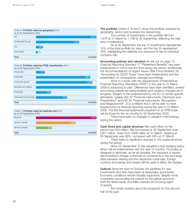#### Chart A: **Portfolio value by geography** (£m) as at 30 September 2004







#### Chart C: **Portfolio value by business line** (£m)

| Total                   |     |       | £4,378m |
|-------------------------|-----|-------|---------|
| Venture Capital         | 594 |       |         |
| <b>Growth Capital</b>   |     | 1,493 |         |
| <b>Buyouts</b>          |     |       | 2,291   |
| as at 30 September 2004 |     |       |         |

**The portfolio** Charts A, B and C show the portfolio analysed by geography, sector and business line respectively.

The number of investments in the portfolio fell from 1,878 at 31 March to 1,738 at 30 September, reflecting the high level of realisations.

As at 30 September, the top 10 investments represented 15% of the total portfolio by value, and the top 50 represented 38%, highlighting the relatively low exposure 3i has to individual company risk.

**Accounting policies and valuation** As set out on page 13, Financial Reporting Standard 17 "Retirement Benefits" has been implemented in full for the first time during the period. Additionally, the recommendations of Urgent Issues Task Force Abstract 38 "Accounting for ESOP Trusts" have been implemented and the presentation of comparatives changed accordingly.

Work to comply with the requirements of International Financial Reporting Standards ("IFRS") in the year to 31 March 2006 is advancing to plan. Differences have been identified, revised accounting policies are being finalised and systems changes are in progress. Subject to the endorsement by the EU of certain specific standards, notably IAS 32 "Financial Instruments: Disclosure and Presentation" and IAS 39 "Financial Instruments: Recognition and Measurement", 3i is confident that it will be able to meet requirements for financial reporting during the year to 31 March 2006. The first financial statements prepared on an IFRS basis will be those for the six months to 30 September 2005.

There have been no changes in valuation methodology during the period.

**Cash flows and capital structure** Net cash inflow for the period was £64 million. Net borrowings at 30 September were £901 million, down from £936 million at 31 March. Gearing at 30 September was 26%, compared with 29% at 31 March.

There were no significant changes in 3i's capital structure during the period.

Since 30 September, 3i has adopted a new hedging policy, which will be implemented over the next 12 months. The policy is designed to eliminate, as far as possible, the exposure of assets denominated in foreign currencies to movements in the exchange rates between sterling and the respective currencies. Foreign currency borrowings and swaps will be used to effect the hedges.

**Outlook** Since the start of October, the pipelines for new investments and exits have been at reasonably good levels. Economic conditions remain broadly supportive, despite some uncertainty surrounding the outlook for the global economy, both the listed equity and M&A markets are showing signs of activity.

We remain positive about the prospects for the second half of the year.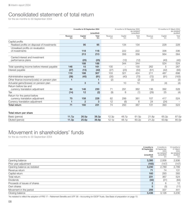### Consolidated statement of total return

for the six months to 30 September 2004

|                                                | 6 months to 30 September 2004 |                |             |                   | 6 months to 30 September 2003<br>(as restated)* |             |               | 12 months to 31 March 2004<br>(as restated)* |             |  |  |
|------------------------------------------------|-------------------------------|----------------|-------------|-------------------|-------------------------------------------------|-------------|---------------|----------------------------------------------|-------------|--|--|
|                                                |                               |                | (unaudited) |                   |                                                 | (unaudited) |               |                                              | (audited)   |  |  |
|                                                | Revenue<br>£m                 | Capital<br>£m  | Total<br>£m | Revenue<br>£m     | Capital<br><b>f</b> m                           | Total<br>£m | Revenue<br>£m | Capital<br>£m                                | Total<br>£m |  |  |
| Capital profits                                |                               |                |             |                   |                                                 |             |               |                                              |             |  |  |
| Realised profits on disposal of investments    |                               | 95             | 95          |                   | 134                                             | 134         |               | 228                                          | 228         |  |  |
| Unrealised profits on revaluation              |                               |                |             |                   |                                                 |             |               |                                              |             |  |  |
| of investments                                 |                               | 118            | 118         |                   | 222                                             | 222         |               | 336                                          | 336         |  |  |
|                                                |                               | 213            | 213         |                   | 356                                             | 356         |               | 564                                          | 564         |  |  |
| Carried interest and investment                |                               |                |             |                   |                                                 |             |               |                                              |             |  |  |
| performance plans                              |                               | (25)           | (25)        |                   | (12)                                            | (12)        |               | (40)                                         | (40)        |  |  |
|                                                |                               | 188            | 188         |                   | 344                                             | 344         |               | 524                                          | 524         |  |  |
| Total operating income before interest payable | 146                           | 15             | 161         | 130               | $\qquad \qquad$                                 | 130         | 262           | 5                                            | 267         |  |  |
| Interest payable                               | (27)                          | (15)           | (42)        | (27)              | (23)                                            | (50)        | (51)          | (42)                                         | (93)        |  |  |
|                                                | 119                           | 188            | 307         | 103               | 321                                             | 424         | 211           | 487                                          | 698         |  |  |
| Administrative expenses                        | (36)                          | (45)           | (81)        | (30)              | (40)                                            | (70)        | (72)          | (91)                                         | (163)       |  |  |
| Other finance income/(costs) on pension plan   |                               |                |             | (2)               |                                                 | (2)         | (3)           |                                              | (3)         |  |  |
| Actuarial gains/(losses) on pension plan       |                               | 3              | 3           |                   | 10                                              | 10          |               | (4)                                          | (4)         |  |  |
| Return before tax and                          |                               |                |             |                   |                                                 |             |               |                                              |             |  |  |
| currency translation adjustment                | 84                            | 146            | 230         | 71                | 291                                             | 362         | 136           | 392                                          | 528         |  |  |
| Tax                                            | (14)                          | 12             | (2)         | (9)               | 8                                               | (1)         | (29)          | 25                                           | (4)         |  |  |
| Return for the period before                   |                               |                |             |                   |                                                 |             |               |                                              |             |  |  |
| currency translation adjustment                | 70                            | 158            | 228         | 62                | 299                                             | 361         | 107           | 417                                          | 524         |  |  |
| Currency translation adjustment                | 1                             | $\overline{2}$ | 3           | 12                | (6)                                             | 6           | 24            | (24)                                         |             |  |  |
| <b>Total return</b>                            | 71                            | 160            | 231         | 74                | 293                                             | 367         | 131           | 393                                          | 524         |  |  |
|                                                |                               |                |             |                   |                                                 |             |               |                                              |             |  |  |
| Total return per share                         |                               |                |             |                   |                                                 |             |               |                                              |             |  |  |
| Basic (pence)                                  | 11.7p                         | 26.5p          | 38.2p       | 12.3p             | 48.7 <sub>p</sub>                               | 61.0p       | 21.8p         | 65.2p                                        | 87.0p       |  |  |
| Diluted (pence)                                | 11.3p                         | 25.6p          | 36.9p       | 12.1 <sub>p</sub> | 48.1p                                           | 60.2p       | 21.2p         | 63.8 <sub>p</sub>                            | 85.0p       |  |  |

### Movement in shareholders' funds

for the six months to 30 September 2004

|                              | 6 months to<br>30 September<br>2004<br>(unaudited)<br>£m | 6 months to<br>30 September<br>2003<br>(as restated)*<br>(unaudited)<br>£m | 12 months to<br>31 March<br>2004<br>(as restated)*<br>(audited)<br>£m |
|------------------------------|----------------------------------------------------------|----------------------------------------------------------------------------|-----------------------------------------------------------------------|
| Opening balance              | 3,395                                                    | 2,936                                                                      | 2,936                                                                 |
| Prior year adjustment        | (165)                                                    | (147)                                                                      | (147)                                                                 |
| Opening balance as restated  | 3,230                                                    | 2,789                                                                      | 2,789                                                                 |
| Revenue return               | 71                                                       | 74                                                                         | 131                                                                   |
| Capital return               | 160                                                      | 293                                                                        | 393                                                                   |
| Total return                 | 231                                                      | 367                                                                        | 524                                                                   |
| <b>Dividends</b>             | (32)                                                     | (31)                                                                       | (84)                                                                  |
| Proceeds of issues of shares | $\overline{2}$                                           | 6                                                                          | 12                                                                    |
| Own shares                   | 5                                                        | (5)                                                                        | (11)                                                                  |
| Movement in the period       | 206                                                      | 337                                                                        | 441                                                                   |
| Closing balance              | 3,436                                                    | 3,126                                                                      | 3,230                                                                 |

\*As restated to reflect the adoption of FRS 17 – Retirement Benefits and UITF 38 – Accounting for ESOP Trusts. See Basis of preparation on page 13.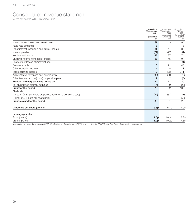### Consolidated revenue statement

for the six months to 30 September 2004

|                                                              | 6 months to<br>30 September<br>2004 | 6 months to<br>30 September<br>2003<br>(as restated)* | 12 months to<br>31 March<br>2004<br>(as restated)* |
|--------------------------------------------------------------|-------------------------------------|-------------------------------------------------------|----------------------------------------------------|
|                                                              | (unaudited)<br>£m                   | (unaudited)<br>£m                                     | (audited)<br>£m                                    |
| Interest receivable on loan investments                      | 51                                  | 43                                                    | 84                                                 |
| Fixed rate dividends                                         | 3                                   | 4                                                     | 8                                                  |
| Other interest receivable and similar income                 | 21                                  | 17                                                    | 33                                                 |
| Interest payable                                             | (27)                                | (27)                                                  | (51)                                               |
| Net interest income                                          | 48                                  | 37                                                    | 74                                                 |
| Dividend income from equity shares                           | 53                                  | 45                                                    | 94                                                 |
| Share of net losses of joint ventures                        |                                     |                                                       | (1)                                                |
| Fees receivable                                              | 18                                  | 21                                                    | 43                                                 |
| Other operating income                                       |                                     |                                                       | $\mathbf{1}$                                       |
| Total operating income                                       | 119                                 | 103                                                   | 211                                                |
| Administrative expenses and depreciation                     | (36)                                | (30)                                                  | (72)                                               |
| Other finance income/(costs) on pension plan                 |                                     | (2)                                                   | (3)                                                |
| Profit on ordinary activities before tax                     | 84                                  | 71                                                    | 136                                                |
| Tax on profit on ordinary activities                         | (14)                                | (9)                                                   | (29)                                               |
| Profit for the period                                        | 70                                  | 62                                                    | 107                                                |
| <b>Dividends</b>                                             |                                     |                                                       |                                                    |
| Interim (5.3p per share proposed, 2004: 5.1p per share paid) | (32)                                | (31)                                                  | (31)                                               |
| Final (2004: 8.9p per share paid)                            |                                     |                                                       | (53)                                               |
| Profit retained for the period                               | 38                                  | 31                                                    | $\overline{23}$                                    |
|                                                              |                                     |                                                       |                                                    |
| Dividends per share (pence)                                  | 5.3 <sub>p</sub>                    | 5.1 <sub>p</sub>                                      | 14.0p                                              |
| Earnings per share                                           |                                     |                                                       |                                                    |
| Basic (pence)                                                | 11.6p                               | 10.3 <sub>p</sub>                                     | 17.8p                                              |
| Diluted (pence)                                              | 11.2p                               | 10.2 <sub>p</sub>                                     | 17.3p                                              |

\*As restated to reflect the adoption of FRS 17 – Retirement Benefits and UITF 38 – Accounting for ESOP Trusts. See Basis of preparation on page 13.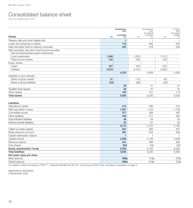### Consolidated balance sheet

as at 30 September 2004

| <b>Assets</b>                                                                                  | £m    | 30 September<br>2004<br>(unaudited)<br>£m | £m    | 30 September<br>2003<br>(as restated)<br>(unaudited)<br>£m | £m    | 31 March<br>2004<br>(as restated)*<br>(audited)<br>£m |
|------------------------------------------------------------------------------------------------|-------|-------------------------------------------|-------|------------------------------------------------------------|-------|-------------------------------------------------------|
| Treasury bills and other eligible bills                                                        |       | $\mathbf{1}$                              |       | $\mathbf 1$                                                |       | $\mathbf{1}$                                          |
| Loans and advances to banks                                                                    |       | 718                                       |       | 800                                                        |       | 534                                                   |
| Debt securities held for treasury purposes                                                     |       | 225                                       |       | 218                                                        |       | 284                                                   |
| Debt securities and other fixed income securities<br>held as financial fixed asset investments |       |                                           |       |                                                            |       |                                                       |
| Loan investments                                                                               | 1,408 |                                           | 1,229 |                                                            | 1,312 |                                                       |
| Fixed income shares                                                                            | 124   |                                           | 199   |                                                            | 150   |                                                       |
| Equity shares                                                                                  |       |                                           |       |                                                            |       |                                                       |
| Listed                                                                                         | 227   |                                           | 168   |                                                            | 225   |                                                       |
| Unlisted                                                                                       | 2,619 |                                           | 2,410 |                                                            | 2,639 |                                                       |
|                                                                                                |       | 4,378                                     |       | 4,006                                                      |       | 4,326                                                 |
| Interests in joint ventures                                                                    |       |                                           |       |                                                            |       |                                                       |
| Share of gross assets                                                                          | 51    |                                           | 116   |                                                            | 80    |                                                       |
| Share of gross liabilities                                                                     | (22)  |                                           | (85)  |                                                            | (53)  |                                                       |
|                                                                                                |       | 29                                        |       | 31                                                         |       | 27                                                    |
| Tangible fixed assets                                                                          |       | 39                                        |       | 43                                                         |       | 40                                                    |
| Other assets                                                                                   |       | 160                                       | 151   |                                                            | 118   |                                                       |
| <b>Total assets</b>                                                                            |       | 5,550                                     |       | 5,250                                                      |       | 5,330                                                 |
|                                                                                                |       |                                           |       |                                                            |       |                                                       |
| Liabilities                                                                                    |       |                                           |       |                                                            |       |                                                       |
| Deposits by banks                                                                              |       | 213                                       |       | 290                                                        |       | 215                                                   |
| Debt securities in issue                                                                       |       | 1,207                                     |       | 1,103                                                      |       | 1,128                                                 |
| Convertible bonds                                                                              |       | 377                                       |       | 384                                                        |       | 367                                                   |
| Other liabilities                                                                              |       | 249                                       |       | 217                                                        |       | 262                                                   |
| Subordinated liabilities                                                                       |       | 48                                        |       | 49                                                         |       | 45                                                    |
| Defined benefit liabilities                                                                    |       | 20                                        |       | 81                                                         |       | 83                                                    |
|                                                                                                |       | 2,114                                     |       | 2,124                                                      |       | 2,100                                                 |
| Called up share capital                                                                        |       | 307                                       |       | 306                                                        |       | 307                                                   |
| Share premium account                                                                          |       | 361                                       |       | 354                                                        |       | 359                                                   |
| Capital redemption reserve                                                                     |       | $\mathbf{1}$                              |       | $\overline{1}$                                             |       | $\mathbf{1}$                                          |
| Capital reserve                                                                                |       | 2.386                                     |       | 2,126                                                      |       | 2.226                                                 |
| Revenue reserve                                                                                |       | 431                                       |       | 388                                                        |       | 392                                                   |
| Own shares                                                                                     |       | (50)                                      |       | (49)                                                       |       | (55)                                                  |
| Equity shareholders' funds                                                                     |       | 3,436                                     |       | 3,126                                                      |       | 3,230                                                 |
| <b>Total liabilities</b>                                                                       |       | 5,550                                     |       | 5,250                                                      |       | 5,330                                                 |
| Net asset value per share                                                                      |       |                                           |       |                                                            |       |                                                       |
| Basic (pence)                                                                                  |       | 568p                                      |       | 518 <sub>p</sub>                                           |       | 535p                                                  |
| Diluted (pence)                                                                                |       | 568p                                      |       | 518p                                                       |       | 535p                                                  |

\*As restated to reflect the adoption of FRS 17 – Retirement Benefits and UITF 38 – Accounting for ESOP Trusts. See Basis of preparation on page 13.

Approved by the Board 3 November 2004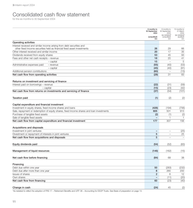### Consolidated cash flow statement

for the six months to 30 September 2004

|                                                                                          | 6 months to<br>30 September<br>2004 | 6 months to<br>30 September<br>2003 | 12 months to<br>31 March<br>2004 |
|------------------------------------------------------------------------------------------|-------------------------------------|-------------------------------------|----------------------------------|
|                                                                                          | (unaudited)<br>£m                   | (as restated)*<br>(unaudited)<br>£m | (as restated)<br>(audited)<br>£m |
| <b>Operating activities</b>                                                              |                                     |                                     |                                  |
| Interest received and similar income arising from debt securities and                    |                                     |                                     |                                  |
| other fixed income securities held as financial fixed asset investments                  | 26                                  | 29                                  | 66                               |
| Other interest received and similar income                                               | 20                                  | 17                                  | 35                               |
| Dividends received from equity shares                                                    | 53                                  | 45                                  | 93                               |
| Fees and other net cash receipts - revenue                                               | 18                                  | 20                                  | 41                               |
| - capital                                                                                | 15                                  | $\overline{\phantom{m}}$            | 5                                |
| Administrative expenses paid<br>- revenue                                                | (55)                                | (40)                                | (53)                             |
| $-$ capital                                                                              | (45)                                | (40)                                | (91)                             |
| Additional pension contributions                                                         | (60)                                | $\overline{\phantom{m}}$            | (13)                             |
| Net cash flow from operating activities                                                  | (28)                                | 31                                  | 83                               |
| Returns on investment and servicing of finance                                           |                                     |                                     |                                  |
| Interest paid on borrowings - revenue                                                    | (22)                                | (31)                                | (59)                             |
| $-$ capital                                                                              | (15)                                | (23)                                | (42)                             |
| Net cash flow from returns on investments and servicing of finance                       | (37)                                | (54)                                | (101)                            |
|                                                                                          |                                     |                                     |                                  |
| <b>Taxation paid</b>                                                                     | (1)                                 | (2)                                 | (2)                              |
| Capital expenditure and financial investment                                             |                                     |                                     |                                  |
| Investment in equity shares, fixed income shares and loans                               | (426)                               | (194)                               | (756)                            |
| Sale, repayment or redemption of equity shares, fixed income shares and loan investments | 605                                 | 501                                 | 913                              |
| Purchase of tangible fixed assets                                                        | (2)                                 | (1)                                 | (2)                              |
| Sale of tangible fixed assets                                                            | $\overline{\phantom{0}}$            | 1                                   | $\overline{1}$                   |
| Net cash flow from capital expenditure and financial investment                          | 177                                 | 307                                 | 156                              |
|                                                                                          |                                     |                                     |                                  |
| Acquisitions and disposals                                                               |                                     |                                     |                                  |
| Investment in joint ventures                                                             | $\qquad \qquad -$                   | $\overline{\phantom{m}}$            | (25)                             |
| Divestment or repayment of interests in joint ventures                                   | 5                                   | $\overline{\phantom{0}}$            | 25                               |
| Net cash flow from acquisitions and disposals                                            | 5                                   | $\overline{\phantom{0}}$            |                                  |
| Equity dividends paid                                                                    | (54)                                | (52)                                | (83)                             |
| Management of liquid resources                                                           | (146)                               | (162)                               | (15)                             |
| Net cash flow before financing                                                           | (84)                                | 68                                  | 38                               |
| Financing                                                                                |                                     |                                     |                                  |
| Debt due within one year                                                                 | 50                                  |                                     | (232)                            |
| Debt due after more than one year                                                        | 8                                   | (283)<br>265                        | 200                              |
| <b>Issues of shares</b>                                                                  | $\overline{2}$                      | 6                                   | 12                               |
|                                                                                          |                                     |                                     |                                  |
| Own shares                                                                               | $\overline{\phantom{a}}$            | (11)                                | (20)                             |
| Net cash flow from financing                                                             | 60                                  | (23)                                | (40)                             |
| Change in cash                                                                           | (24)                                | 45                                  | (2)                              |

\*As restated to reflect the adoption of FRS 17 – Retirement Benefits and UITF 38 – Accounting for ESOP Trusts. See Basis of preparation on page 13.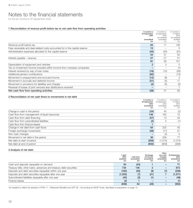### Notes to the financial statements

for the six months to 30 September 2004

#### **1 Reconciliation of revenue profit before tax to net cash flow from operating activities**

|                                                                             | 6 months to<br>30 September<br>2004 | 6 months to<br>30 September<br>2003<br>(as restated) | 12 months to<br>31 March<br>2004<br>(as restated) |
|-----------------------------------------------------------------------------|-------------------------------------|------------------------------------------------------|---------------------------------------------------|
|                                                                             | (unaudited)<br>£m                   | (unaudited)<br>£m                                    | (audited)<br>£m                                   |
| Revenue profit before tax                                                   | 84                                  | 71                                                   | 136                                               |
| Fees receivable and deal-related costs accounted for in the capital reserve | 15                                  | $\overline{\phantom{m}}$                             | 5                                                 |
| Administrative expenses allocated to the capital reserve                    | (45)                                | (40)                                                 | (91)                                              |
|                                                                             | 54                                  | 31                                                   | 50                                                |
| Interest payable – revenue                                                  | 27                                  | 27                                                   | 51                                                |
|                                                                             | 81                                  | 58                                                   | 101                                               |
| Depreciation of equipment and vehicles                                      | 2                                   | 3                                                    | 5                                                 |
| Tax on investment income included within income from overseas companies     |                                     |                                                      | (1)                                               |
| Interest received by way of loan notes                                      | (16)                                | (15)                                                 | (28)                                              |
| Additional pension contributions                                            | (60)                                | $\qquad \qquad \longleftarrow$                       | (13)                                              |
| Movement in prepayments and accrued income                                  | (12)                                | (6)                                                  | 3                                                 |
| Movement in accruals and deferred income                                    | (21)                                | (4)                                                  | 17                                                |
| Movement in provisions for liabilities and charges                          | (2)                                 | (5)                                                  | (2)                                               |
| Reversal of losses of joint ventures less distributions received            |                                     |                                                      |                                                   |
| Net cash flow from operating activities                                     | (28)                                | 31                                                   | 83                                                |

#### **2 Reconciliation of net cash flows to movements in net debt**

|                                               | 6 months to<br>30 September<br>2004<br>(unaudited)<br>£m | 6 months to<br>30 September<br>2003<br>(unaudited)<br>£m | 12 months to<br>31 March<br>2004<br>(audited)<br>£m |
|-----------------------------------------------|----------------------------------------------------------|----------------------------------------------------------|-----------------------------------------------------|
| Change in cash in the period                  | (24)                                                     | 45                                                       | (2)                                                 |
| Cash flow from management of liquid resources | 146                                                      | 162                                                      | 15                                                  |
| Cash flow from debt financing                 | (57)                                                     | 13                                                       | 33                                                  |
| Cash flow from subordinated liabilities       | (2)                                                      | 5                                                        | (1)                                                 |
| Cash flow from finance leases                 |                                                          |                                                          |                                                     |
| Change in net debt from cash flows            | 64                                                       | 225                                                      | 45                                                  |
| Foreign exchange movements                    | (28)                                                     | (17)                                                     | 27                                                  |
| Non-cash changes                              |                                                          | (2)                                                      | 5                                                   |
| Movement in net debt in the period            | 36                                                       | 206                                                      | 77                                                  |
| Net debt at start of period                   | (938)                                                    | (1,015)                                                  | (1,015)                                             |
| Net debt at end of period                     | (902)                                                    | (809)                                                    | (938)                                               |

#### **3 Analysis of net debt**

|                                                                    | 1 April<br>2004<br>(audited)<br>£m | Cash flow<br>(unaudited)<br>£m | Exchange<br>movement<br>(unaudited)<br>£m | Other<br>non-cash<br>changes<br>(unaudited)<br>£m | 30 September<br>2004<br>(unaudited)<br>£m |
|--------------------------------------------------------------------|------------------------------------|--------------------------------|-------------------------------------------|---------------------------------------------------|-------------------------------------------|
| Cash and deposits repayable on demand                              | 94                                 | (24)                           |                                           |                                                   | 71                                        |
| Treasury bills, other loans, advances and treasury debt securities | 725                                | 146                            |                                           |                                                   | 873                                       |
| Deposits and debt securities repayable within one year             | (160)                              | (50)                           | (9)                                       | (7)                                               | (226)                                     |
| Deposits and debt securities repayable after one year              | (1,550)                            | (7)                            | (21)                                      |                                                   | (1,571)                                   |
| Subordinated liabilities repayable after one year                  | (45)                               | (2)                            | (1)                                       |                                                   | (48)                                      |
| Finance leases                                                     | (2)                                |                                |                                           |                                                   | (1)                                       |
|                                                                    | (938)                              | 64                             | (28)                                      |                                                   | (902)                                     |

\*As restated to reflect the adoption of FRS 17 – Retirement Benefits and UITF 38 – Accounting for ESOP Trusts. See Basis of preparation on page 13.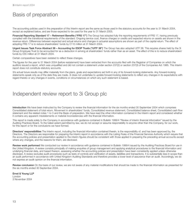### Basis of preparation

The accounting policies used in the preparation of this Interim report are the same as those used in the statutory accounts for the year to 31 March 2004, except as explained below, and are those expected to be used for the year to 31 March 2005.

Financial Reporting Standard 17 - Retirement Benefits ("FRS 17") The Group has adopted fully the reporting requirements of FRS 17, having previously complied with the transitional requirements of the standard. Ongoing service cost, finance charges or credits and expected returns on assets are shown in the revenue return. Differences between expected and actual returns and changes in actuarial assumptions are shown as part of the capital return. The effect of adopting FRS 17 is to reduce shareholders' funds by £110 million at 31 March 2004.

**Urgent Issues Task Force Abstract 38 – Accounting for ESOP Trusts ("UITF 38")** The Group has also adopted UITF 38. This requires shares held by the 3i Group Employee Trust to be accounted for as a deduction in arriving at shareholders' funds rather than as an asset. The effect of this is to reduce shareholders' funds by £55 million at 31 March 2004.

Certain comparatives have been restated to reflect these changes.

The figures for the year to 31 March 2004 (before restatement) have been extracted from the accounts filed with the Registrar of Companies on which the auditors issued a report, which was unqualified and did not contain a statement under section 237(2) or section 237(3) of the Companies Act 1985. This Interim report does not constitute statutory accounts.

3i's actual future results may differ materially from the plans, goals and expectations set forth in any of its forward-looking statements. Any forward-looking statements speak only as of the date they are made. 3i does not undertake to update forward-looking statements to reflect any changes in its expectations with regard thereto or any changes in events, conditions or circumstances on which any such statement is based.

### Independent review report to 3i Group plc

**Introduction** We have been instructed by the Company to review the financial information for the six months ended 30 September 2004 which comprises Consolidated statement of total return, Movement in shareholders' funds, Consolidated revenue statement, Consolidated balance sheet, Consolidated cash flow statement and the related notes 1 to 3 and the Basis of preparation. We have read the other information contained in the Interim report and considered whether it contains any apparent misstatements or material inconsistencies with the financial information.

This report is made solely to the Company in accordance with guidance contained in Bulletin 1999/4 "Review of interim financial information" issued by the Auditing Practices Board. To the fullest extent permitted by law, we do not accept or assume responsibility to anyone other than the Company, for our work, for this report or for the conclusions we have formed.

**Directors' responsibilities** The Interim report, including the financial information contained therein, is the responsibility of, and has been approved by, the Directors. The Directors are responsible for preparing the Interim report in accordance with the Listing Rules of the Financial Services Authority which require that the accounting policies and presentation applied to the interim figures should be consistent with those applied in preparing the preceding annual accounts except where any changes, and the reasons for them, are disclosed.

**Review work performed** We conducted our review in accordance with guidance contained in Bulletin 1999/4 issued by the Auditing Practices Board for use in the United Kingdom. A review consists principally of making enquiries of group management and applying analytical procedures to the financial information and underlying financial data, and based thereon, assessing whether the accounting policies and presentation have been consistently applied unless otherwise disclosed. A review excludes audit procedures such as tests of controls and verification of assets, liabilities and transactions. It is substantially less in scope than an audit performed in accordance with United Kingdom Auditing Standards and therefore provides a lower level of assurance than an audit. Accordingly, we do not express an audit opinion on the financial information.

**Review conclusion** On the basis of our review, we are not aware of any material modifications that should be made to the financial information as presented for the six months ended 30 September 2004.

**Ernst & Young LLP**  London 3 November 2004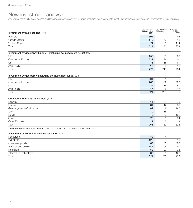#### New investment analysis

Analysis of the equity, fixed income and loan investments made by 3i Group (including co-investment funds). The analyses below exclude investments in joint ventures.

| Investment by business line (£m)                                                                     | 6 months to<br>30 September<br>2004 | 6 months to<br>30 September<br>2003 | 12 months to<br>31 March<br>2004 |
|------------------------------------------------------------------------------------------------------|-------------------------------------|-------------------------------------|----------------------------------|
| <b>Buyouts</b>                                                                                       | 305                                 | 141                                 | 492                              |
| Growth Capital                                                                                       | 142                                 | 76                                  | 313                              |
| Venture Capital                                                                                      | 74                                  | 56                                  | 174                              |
| Total                                                                                                | 521                                 | 273                                 | 979                              |
|                                                                                                      |                                     |                                     |                                  |
| Investment by geography (3i only - excluding co-investment funds) (£m)                               |                                     |                                     |                                  |
| UK                                                                                                   | 152                                 | 53                                  | 309                              |
| Continental Europe                                                                                   | 222                                 | 134                                 | 401                              |
| US                                                                                                   | 35                                  | 18                                  | 61                               |
| Asia Pacific                                                                                         | 13                                  | 6                                   | 13                               |
| Total                                                                                                | 422                                 | 211                                 | 784                              |
|                                                                                                      |                                     |                                     |                                  |
| Investment by geography (including co-investment funds) (£m)                                         |                                     |                                     |                                  |
| UK                                                                                                   | 201                                 | 65                                  | 375                              |
| Continental Europe                                                                                   | 268                                 | 182                                 | 526                              |
| US                                                                                                   | 35                                  | 18                                  | 61                               |
| Asia Pacific                                                                                         | 17                                  | 8                                   | 17                               |
| Total                                                                                                | 521                                 | 273                                 | 979                              |
| Continental European investment (£m)                                                                 |                                     |                                     |                                  |
| <b>Benelux</b>                                                                                       | 14                                  | 52                                  | 73                               |
| France                                                                                               | 81                                  | 12                                  | 89                               |
| Germany/Austria/Switzerland                                                                          | 89                                  | 48                                  | 186                              |
| Italy                                                                                                | 10                                  | 18                                  | 19                               |
| Nordic                                                                                               | 46                                  | 27                                  | 106                              |
| Spain                                                                                                | 26                                  | 20                                  | 34                               |
| Other European*                                                                                      | $\mathbf 2$                         | 5                                   | 19                               |
| Total                                                                                                | 268                                 | 182                                 | 526                              |
| *Other European includes investments in countries where 3i did not have an office at the period end. |                                     |                                     |                                  |
| Investment by FTSE industrial classification (£m)                                                    |                                     |                                     |                                  |
| Resources                                                                                            | 89                                  | $\overline{4}$                      | 11                               |
| <b>Industrials</b>                                                                                   | 125                                 | 53                                  | 219                              |
| Consumer goods                                                                                       | 69                                  | 80                                  | 306                              |
| Services and utilities                                                                               | 142                                 | 66                                  | 290                              |
| Financials                                                                                           | 59                                  | 20                                  | 33                               |
|                                                                                                      | 37                                  | 50                                  | 120                              |
| Information technology                                                                               |                                     |                                     |                                  |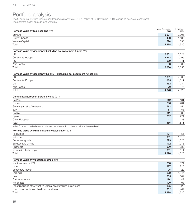### Portfolio analysis

The Group's equity, fixed income and loan investments total £4,378 million at 30 September 2004 (excluding co-investment funds). The analyses below exclude joint ventures.

| Portfolio value by business line (£m)                                                                | At 30 September<br>2004 | At 31 March<br>2004 |
|------------------------------------------------------------------------------------------------------|-------------------------|---------------------|
| <b>Buyouts</b>                                                                                       | 2,291                   | 2,306               |
| Growth Capital                                                                                       | 1,493                   | 1,487               |
| Venture Capital                                                                                      | 594                     | 533                 |
| Total                                                                                                | 4,378                   | 4,326               |
| Portfolio value by geography (including co-investment funds) (£m)                                    |                         |                     |
| UK                                                                                                   | 2,861                   | 3,024               |
| Continental Europe                                                                                   | 2,473                   | 2,299               |
| US                                                                                                   | 269                     | 241                 |
| Asia Pacific                                                                                         | 83                      | 86                  |
| Total                                                                                                | 5,686                   | 5,650               |
|                                                                                                      |                         |                     |
| Portfolio value by geography (3i only - excluding co-investment funds) (£m)                          |                         |                     |
| UK                                                                                                   | 2,361                   | 2,506               |
| Continental Europe                                                                                   | 1,685                   | 1,511               |
| US                                                                                                   | 262                     | 234                 |
| Asia Pacific                                                                                         | 70                      | 75                  |
| Total                                                                                                | 4,378                   | 4,326               |
| Continental European portfolio value (£m)                                                            |                         |                     |
| Benelux                                                                                              | 212                     | 181                 |
| France                                                                                               | 296                     | 234                 |
| Germany/Austria/Switzerland                                                                          | 512                     | 454                 |
| Italy                                                                                                | 61                      | 53                  |
| Nordic                                                                                               | 311                     | 332                 |
| Spain                                                                                                | 252                     | 224                 |
| Other European*                                                                                      | 41                      | 33                  |
| Total                                                                                                | 1,685                   | 1,511               |
| *Other European includes investments in countries where 3i did not have an office at the period end. |                         |                     |
| Portfolio value by FTSE industrial classification (£m)                                               |                         |                     |
| Resources                                                                                            | 171                     | 155                 |
| Industrials                                                                                          | 1,051                   | 1,018               |
| Consumer goods                                                                                       | 1,093                   | 1,026               |
| Services and utilities                                                                               | 1,172                   | 1,275               |
| Financials                                                                                           | 290                     | 238                 |
| Information technology                                                                               | 601                     | 614                 |
| Total                                                                                                | 4,378                   | 4,326               |
|                                                                                                      |                         |                     |
| Portfolio value by valuation method (£m)                                                             |                         |                     |
| Imminent sale or IPO                                                                                 | 258                     | 174                 |
| Listed                                                                                               | 227                     | 225                 |
| Secondary market                                                                                     | 25                      | 29                  |
| Earnings                                                                                             | 1,222                   | 1,347               |
| Cost<br>Further advance                                                                              | 535                     | 509                 |
|                                                                                                      | 174                     | 149                 |
| Net assets                                                                                           | 100                     | 103                 |
| Other (including other Venture Capital assets valued below cost)                                     | 305                     | 328                 |
| Loan investments and fixed income shares                                                             | 1,532                   | 1,462               |
| Total                                                                                                | 4,378                   | 4,326               |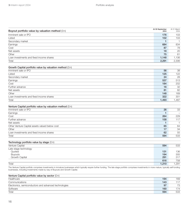| Buyout portfolio value by valuation method (£m)                   | At 30 September<br>2004 | At 31 March<br>2004 |
|-------------------------------------------------------------------|-------------------------|---------------------|
| Imminent sale or IPO                                              | 176                     | 103                 |
| Listed                                                            | 102                     | 103                 |
| Secondary market                                                  | 1                       | $\overline{1}$      |
| Earnings                                                          | 684                     | 834                 |
| Cost                                                              | 87                      | 78                  |
| Net assets                                                        | 18                      | 20                  |
| Other                                                             | 75                      | 61                  |
| Loan investments and fixed income shares                          | 1,148                   | 1,106               |
| Total                                                             | 2,291                   | 2,306               |
| Growth Capital portfolio value by valuation method (£m)           |                         |                     |
| Imminent sale or IPO                                              | 56                      | 38                  |
| Listed                                                            | 125                     | 122                 |
| Secondary market                                                  | 24                      | 28                  |
| Earnings                                                          | 537                     | 513                 |
| Cost                                                              | 184                     | 202                 |
| Further advance                                                   | 16                      | 32                  |
| Net assets                                                        | 81                      | 82                  |
| Other                                                             | 148                     | 169                 |
| Loan investments and fixed income shares                          | 322                     | 301                 |
| Total                                                             | 1,493                   | 1,487               |
| Venture Capital portfolio value by valuation method $(\text{Em})$ |                         |                     |
| Imminent sale or IPO                                              | 26                      | 33                  |
|                                                                   |                         |                     |

| Earnings                                       |     |     |
|------------------------------------------------|-----|-----|
| Cost                                           | 264 | 229 |
| Further advance                                | 158 | 117 |
| Net assets                                     |     |     |
| Other Venture Capital assets valued below cost | 65  | 64  |
| Other                                          | 17  | 34  |
| Loan investments and fixed income shares       | 62  | 55  |
| Total                                          | 594 | 533 |

| Technology portfolio value by stage (£m) |       |      |
|------------------------------------------|-------|------|
| Venture Capital                          | 594   | 533  |
| Late stage technology                    |       |      |
| Quoted                                   | 131   | 136  |
| <b>Buyouts</b>                           | 194   | 305  |
| Growth Capital                           | 291   | 317  |
|                                          | 616   | 758  |
| Total                                    | 1.210 | .291 |

The Venture Capital portfolio comprises investments in immature businesses which typically require further funding. The late stage portfolio comprises investments in more mature, typically self-funding businesses, including investments made by way of Buyouts and Growth Capital.

| Venture Capital portfolio value by sector (£m)        |     |     |
|-------------------------------------------------------|-----|-----|
| Healthcare                                            | 194 | 169 |
| Communications                                        | 143 | 117 |
| Electronics, semiconductors and advanced technologies | 97  | 73  |
| Software                                              | 160 | 174 |
| Total                                                 | 594 | 533 |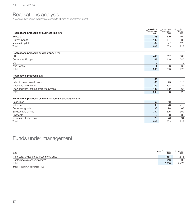#### Realisations analysis

Analysis of the Group's realisation proceeds (excluding co-investment funds).

| Realisations proceeds by business line (£m)                  | 6 months to<br>30 September<br>2004 | 6 months to<br>30 September<br>2003 | 12 months to<br>31 March<br>2004 |
|--------------------------------------------------------------|-------------------------------------|-------------------------------------|----------------------------------|
| <b>Buyouts</b>                                               | 388                                 | 229                                 | 464                              |
| Growth Capital                                               | 133                                 | 197                                 | 339                              |
| Venture Capital                                              | 82                                  | 77                                  | 120                              |
| Total                                                        | 603                                 | 503                                 | 923                              |
| Realisations proceeds by geography (£m)                      |                                     |                                     |                                  |
| UK                                                           | 445                                 | 317                                 | 608                              |
| Continental Europe                                           | 148                                 | 119                                 | 245                              |
| <b>US</b>                                                    | 9                                   | 11                                  | 10                               |
| Asia Pacific                                                 | 1                                   | 56                                  | 60                               |
| Total                                                        | 603                                 | 503                                 | 923                              |
| Realisations proceeds (£m)<br><b>IPO</b>                     | 34                                  | $\qquad \qquad -$                   | $\overline{7}$                   |
| Sale of quoted investments                                   | 38                                  | 73                                  | 118                              |
| Trade and other sales                                        | 345                                 | 298                                 | 532                              |
| Loan and fixed income share repayments                       | 186                                 | 132                                 | 266                              |
| Total                                                        | 603                                 | 503                                 | 923                              |
|                                                              |                                     |                                     |                                  |
| Realisations proceeds by FTSE industrial classification (£m) |                                     |                                     |                                  |
| Resources                                                    | 60                                  | 13                                  | 14                               |
| Industrials                                                  | 90                                  | 73                                  | 216                              |
| Consumer goods                                               | 90                                  | 78                                  | 167                              |
| Services and utilities                                       | 282                                 | 225                                 | 352                              |
| Financials                                                   | 3                                   | 68                                  | 80                               |
| Information technology                                       | 78                                  | 46                                  | 94                               |
| Total                                                        | 603                                 | 503                                 | 923                              |

### Funds under management

| (Em)                                     | At 30 September<br>2004 | At 31 March<br>2004 |
|------------------------------------------|-------------------------|---------------------|
| Third party unquoted co-investment funds | ,884                    | ,875                |
| Quoted investment companies*             | 646                     | 600                 |
| Total                                    | 2.530                   | 2,475               |
|                                          |                         |                     |

\*Includes the 3i Group Pension Plan.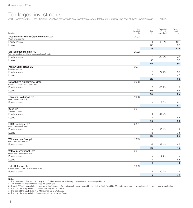### Ten largest investments

At 30 September 2004, the Directors' valuation of the ten largest investments was a total of £677 million. The cost of these investments is £348 million.

| Investment                                                                                   | First<br>invested<br>in | Cost <sup>1</sup><br>£m   | Proportion<br>of equity<br>shares held | Directors'<br>valuation <sup>1</sup><br>£m |
|----------------------------------------------------------------------------------------------|-------------------------|---------------------------|----------------------------------------|--------------------------------------------|
| Westminster Health Care Holdings Ltd <sup>2</sup><br>Care homes operator                     | 2002                    |                           |                                        |                                            |
| Equity shares                                                                                |                         | 1                         | 49.6%                                  | 101                                        |
| Loans                                                                                        |                         | 37                        |                                        | 37                                         |
|                                                                                              |                         | 38                        |                                        | 138                                        |
| <b>SR Technics Holding AG</b><br>Technical solutions provider for commercial aircraft fleets | 2002                    |                           |                                        |                                            |
| Equity shares                                                                                |                         | $\overline{7}$            | 32.2%                                  | 47                                         |
| Loans                                                                                        |                         | 50                        |                                        | 50                                         |
|                                                                                              |                         | 57                        |                                        | $\overline{97}$                            |
| Yellow Brick Road BV <sup>3</sup><br>Directory services                                      | 2004                    |                           |                                        |                                            |
| Equity shares                                                                                |                         | 6                         | 22.7%                                  | 35                                         |
| Loans                                                                                        |                         | 16                        |                                        | 47                                         |
|                                                                                              |                         | $\overline{22}$           |                                        | 82                                         |
| <b>Betapharm Arzneimittel GmbH</b><br>Supplier of generic prescription drugs                 | 2003                    |                           |                                        |                                            |
| Equity shares                                                                                |                         | $\ensuremath{\mathsf{3}}$ | 66.2%                                  | $\ensuremath{\mathsf{3}}$                  |
| Loans                                                                                        |                         | 63                        |                                        | 63                                         |
|                                                                                              |                         | 66                        |                                        | 66                                         |
| Travelex Holdings Ltd <sup>4</sup><br>Foreign currency services                              | 1998                    |                           |                                        |                                            |
| Equity shares                                                                                |                         | $\overline{\phantom{m}}$  | 19.6%                                  | 61                                         |
|                                                                                              |                         | $\overline{\phantom{a}}$  |                                        | 61                                         |
| <b>Keos SA</b><br>Transport operator                                                         | 2004                    |                           |                                        |                                            |
| Equity shares                                                                                |                         | 11                        | 41.4%                                  | 11                                         |
| Loans                                                                                        |                         | 42                        |                                        | 42                                         |
|                                                                                              |                         | 53                        |                                        | 53                                         |
| ERM Holdings Ltd <sup>5</sup><br>Environmental consultancy                                   | 2001                    |                           |                                        |                                            |
| Equity shares                                                                                |                         | $\overline{\phantom{m}}$  | 38.1%                                  | 19                                         |
| Loans                                                                                        |                         | 33                        |                                        | $\overline{33}$                            |
|                                                                                              |                         | 33                        |                                        | $\overline{52}$                            |
| Williams Lea Group Ltd<br>Outsourced print services                                          | 1965                    |                           |                                        |                                            |
| Equity shares                                                                                |                         | 33                        | 38.1%                                  | 45                                         |
|                                                                                              |                         | 33                        |                                        | 45                                         |
| Vetco International Ltd <sup>6</sup><br>Oilfield equipment manufacturer                      | 2004                    |                           |                                        |                                            |
| Equity shares                                                                                |                         | $\overline{\phantom{m}}$  | 17.7%                                  | $\overline{\phantom{m}}$                   |
| Loans                                                                                        |                         | 44                        |                                        | 44                                         |
|                                                                                              |                         | 44                        |                                        | 44                                         |
| <b>Tato Holdings Ltd</b><br>Manufacture and sale of specialist chemicals                     | 1989                    |                           |                                        |                                            |
| Equity shares                                                                                |                         | $\sqrt{2}$                | 25.2%                                  | 39                                         |
|                                                                                              |                         | $\overline{2}$            |                                        | $\overline{39}$                            |

**Notes** 

2 This investment has been sold since the period end.

4 The cost of the equity held in Travelex Holdings Ltd is £121,000.

5 The cost of the equity held in ERM Holdings Ltd is £406,000.

6 The cost of the equity held in Vetco International Ltd is £427,000.

<sup>1</sup> The investment information is in respect of 3i's holding and excludes any co-investment by 3i managed funds.

<sup>3</sup> In April 2004, three portfolio companies in the Telephone Directories sector were merged to form Yellow Brick Road BV. 3i's equity value was converted into a loan and into new equity shares.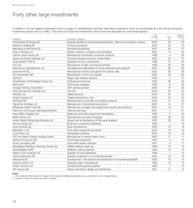### Forty other large investments

In addition to the ten largest investments shown on page 18, detailed below are forty other large investments which are substantially all of the Group's remaining investments valued over £14 million. This does not include five investments, which have been excluded for commercial reasons.

| Investment                                | Description of business                                                    | First<br>invested<br>in | Cost <sup>1</sup><br>£m | Directors'<br>valuation<br>£m |
|-------------------------------------------|----------------------------------------------------------------------------|-------------------------|-------------------------|-------------------------------|
| Pharmadule Emtunga AB                     | Modular facilities to pharmaceutical/biotech, offshore and telecom sectors | 2003                    | 39                      | 39                            |
| Refresco Holding BV                       | Fruit juice producer                                                       | 2003                    | 32                      | 37                            |
| Malmberg Investments BV                   | Educational publisher                                                      | 2001                    | 26                      | 37                            |
| Extec Holdings Ltd                        | Mobile crushers, screeners and shredders                                   | 2002                    | 13                      | 35                            |
| Cannon Avent Group plc                    | Manufacture of branded consumer products                                   | 1995                    | 5                       | 32                            |
| Aspen Insurance Holdings plc <sup>2</sup> | Property/casualty insurance underwriters                                   | 2002                    | 30                      | 31                            |
| <b>Grup Maritim TCB SL</b>                | Operation of port concessions                                              | 1999                    | 13                      | 29                            |
| <b>LDV Ltd</b>                            | Manufacture of light commercial vehicles                                   | 1993                    | 28                      | 29                            |
| <b>Total Home Entertainment Ltd</b>       | Wholesale and distribution of home entertainment products                  | 2003                    | 28                      | 28                            |
| Goromar XXI SL                            | Manufacturer of frites and glazes for ceramic tiles                        | 2002                    | 28                      | 28                            |
| Alö Intressenter AB                       | Manufacture of front end loaders                                           | 2002                    | 28                      | 28                            |
| $CSR$ pl $c^2$                            | Single chip wireless systems                                               | 1999                    | $\mathbf{2}$            | $\overline{27}$               |
| Smartstream Technologies Group Ltd        | Software and services                                                      | 2000                    | 26                      | 26                            |
| Morse plc <sup>2</sup>                    | Technology integrator                                                      | 1995                    | 8                       | 25                            |
| Vonage Holding Corporation                | VoIP service provider                                                      | 2004                    | 15                      | 25                            |
| HSS Hire Service Holdings Ltd             | Tool hire                                                                  | 2004                    | 25                      | 25                            |
| Petrofac Ltd                              | Oilfield services                                                          | 2002                    | 22                      | 22                            |
| Target Express Ltd                        | Freight transport by road                                                  | 2000                    | 43                      | 22                            |
| Vendôme SA                                | Manufacturer of cosmetic and toiletry products                             | 2002                    | 11                      | 22                            |
| PaperPak Holdings Ltd                     | Manufacture of incontinence products                                       | 2002                    | 12                      | 21                            |
| Mölnlycke Health Care AB                  | Manufacture of single-use surgical and wound care products                 | 2001                    | 15                      | 21                            |
| Wwmw E-Commerce International GmbH        | Internet pharmacy                                                          | 2001                    | $\overline{7}$          | 21                            |
| Kaye Office Supplies Ltd                  | Stationery and office equipment wholesalers                                | 1993                    | 6                       | 20                            |
| Mettis Group Ltd                          | Manufacture and sale of forgings                                           | 1999                    | 38                      | 20                            |
| Incline Global Technology Services Ltd    | Repair and remanufacture of flat panel displays                            | 2002                    | 20                      | 20                            |
| Informa Group plc <sup>2</sup>            | Business to business publishing                                            | 1995                    | 1                       | 19                            |
| Nova Rodman SL                            | Boat manufacturer                                                          | 2004                    | 19                      | 19                            |
| Malachite 1 Ltd                           | Coin meter based hire purchase                                             | 2004                    | 19                      | 19                            |
| <b>Local Press Ltd</b>                    | Newspaper publisher                                                        | 2004                    | 18                      | 18                            |
| CID Car Interior Design Holding GmbH      | Manufacture of vehicle interior trims                                      | 2004                    | 17                      | 17                            |
| Venture Production plc <sup>2</sup>       | Oil and gas production                                                     | 1997                    | 3                       | 17                            |
| Envac Centralsug AB                       | Automated waste collection                                                 | 2001                    | 3                       | 17                            |
| Specialised Petroleum Services Group Ltd  | Oilfield wellbore clean up                                                 | 1999                    | 16                      | 16                            |
| Asia Multiplex SARL                       | Multiplex cinema operator                                                  | 2002                    | 10                      | 15                            |
| Pilgrim Food Holdings Ltd                 | Supplier of food ingredients                                               | 1996                    | $\mathbf{1}$            | 15                            |
| Hyva Investments BV                       | Branded hydraulics to commercial vehicles                                  | 2004                    | 15                      | 15                            |
| Vétoquinol SA                             | Development, manufacture and distribution of vet pharmaceuticals           | 2003                    | 14                      | 15                            |
| Westvan (2001) Ltd                        | Specialty paper manufacturer                                               | 1995                    | 15                      | 15                            |
| Foster Yeoman Ltd                         | Limestone and granite quarries                                             | 1985                    | $\overline{7}$          | 15                            |
| <b>SIA Groupe SA</b>                      | Interior decoration design and distribution                                | 2001                    | 14                      | 14                            |

**Notes** 

1 The investment information is in respect of the Group's holding and excludes any co-investment by 3i managed funds.

2 Quoted company (including secondary markets).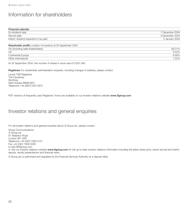#### Information for shareholders

| <b>Financial calendar</b>                                             |                 |
|-----------------------------------------------------------------------|-----------------|
| Ex-dividend date                                                      | 1 December 2004 |
| Record date                                                           | 3 December 2004 |
| Interim dividend expected to be paid                                  | 5 January 2005  |
| <b>Shareholder profile</b> Location of investors at 30 September 2004 |                 |
| UK (including retail shareholders)                                    | 82.01%          |
| <b>US</b>                                                             | 9.52%           |
| <b>Continental Europe</b>                                             | 6.95%           |
| Other international                                                   | 1.52%           |

At 30 September 2004, the number of shares in issue was 613,837,483.

**Registrars** For shareholder administration enquiries, including changes of address, please contact:

Lloyds TSB Registrars The Causeway **Worthing** West Sussex BN99 6DA Telephone +44 (0)870 600 3970

PDF versions of frequently used Registrars' forms are available on our Investor relations website **www.3igroup.com** 

#### Investor relations and general enquiries

For all investor relations and general enquiries about 3i Group plc, please contact:

Group Communications 3i Group plc 91 Waterloo Road London SE1 8XP Telephone +44 (0)20 7928 3131 Fax +44 (0)20 7928 0058 e-mail ir@3igroup.com or visit our investor relations website **www.3igroup.com** for full up-to-date investor relations information including the latest share price, recent annual and interim reports, results presentations and financial news.

3i Group plc is authorised and regulated by the Financial Services Authority as a deposit taker.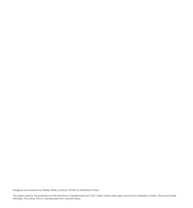Designed and produced by Radley Yeldar (London). Printed by Westerham Press.